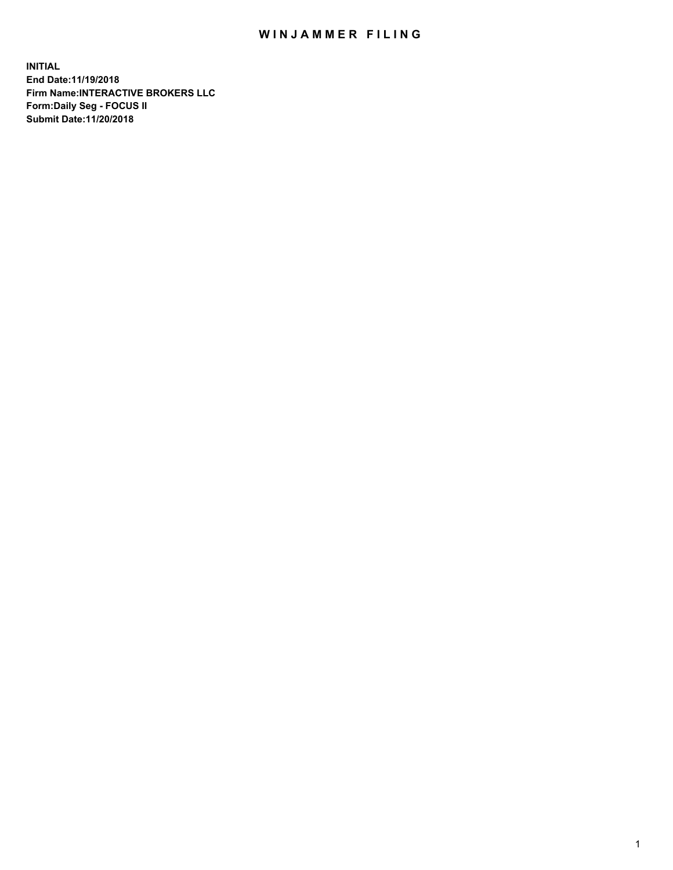## WIN JAMMER FILING

**INITIAL End Date:11/19/2018 Firm Name:INTERACTIVE BROKERS LLC Form:Daily Seg - FOCUS II Submit Date:11/20/2018**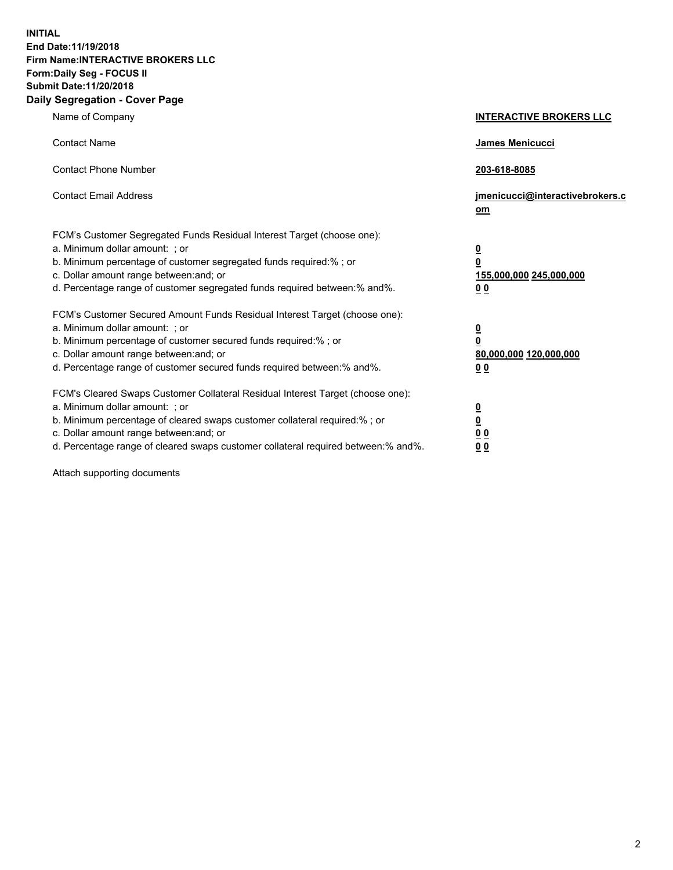**INITIAL End Date:11/19/2018 Firm Name:INTERACTIVE BROKERS LLC Form:Daily Seg - FOCUS II Submit Date:11/20/2018 Daily Segregation - Cover Page**

| Name of Company                                                                                                                                                                                                                                                                                                                | <b>INTERACTIVE BROKERS LLC</b>                                                                  |
|--------------------------------------------------------------------------------------------------------------------------------------------------------------------------------------------------------------------------------------------------------------------------------------------------------------------------------|-------------------------------------------------------------------------------------------------|
| <b>Contact Name</b>                                                                                                                                                                                                                                                                                                            | James Menicucci                                                                                 |
| <b>Contact Phone Number</b>                                                                                                                                                                                                                                                                                                    | 203-618-8085                                                                                    |
| <b>Contact Email Address</b>                                                                                                                                                                                                                                                                                                   | jmenicucci@interactivebrokers.c<br>om                                                           |
| FCM's Customer Segregated Funds Residual Interest Target (choose one):<br>a. Minimum dollar amount: ; or<br>b. Minimum percentage of customer segregated funds required:% ; or<br>c. Dollar amount range between: and; or<br>d. Percentage range of customer segregated funds required between:% and%.                         | $\overline{\mathbf{0}}$<br>$\overline{\mathbf{0}}$<br>155,000,000 245,000,000<br>0 <sub>0</sub> |
| FCM's Customer Secured Amount Funds Residual Interest Target (choose one):<br>a. Minimum dollar amount: ; or<br>b. Minimum percentage of customer secured funds required:%; or<br>c. Dollar amount range between: and; or<br>d. Percentage range of customer secured funds required between:% and%.                            | $\overline{\mathbf{0}}$<br>$\overline{\mathbf{0}}$<br>80,000,000 120,000,000<br>0 <sub>0</sub>  |
| FCM's Cleared Swaps Customer Collateral Residual Interest Target (choose one):<br>a. Minimum dollar amount: ; or<br>b. Minimum percentage of cleared swaps customer collateral required:% ; or<br>c. Dollar amount range between: and; or<br>d. Percentage range of cleared swaps customer collateral required between:% and%. | $\overline{\mathbf{0}}$<br>$\underline{\mathbf{0}}$<br>0 <sub>0</sub><br>0 <sub>0</sub>         |

Attach supporting documents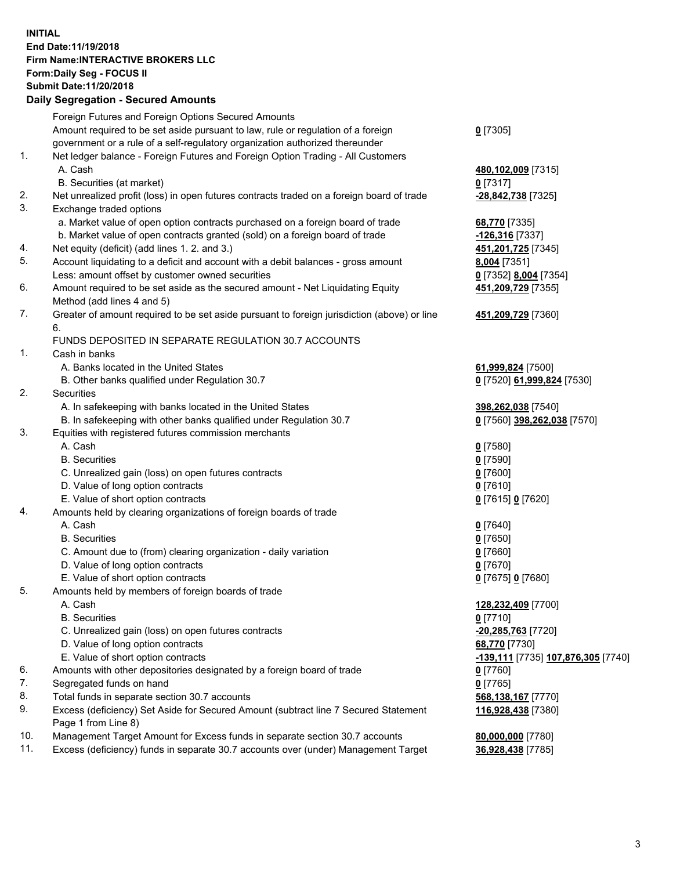## **INITIAL End Date:11/19/2018 Firm Name:INTERACTIVE BROKERS LLC Form:Daily Seg - FOCUS II Submit Date:11/20/2018 Daily Segregation - Secured Amounts**

|     | Daily Segregation - Secured Alliounts                                                                                                |                                    |
|-----|--------------------------------------------------------------------------------------------------------------------------------------|------------------------------------|
|     | Foreign Futures and Foreign Options Secured Amounts                                                                                  |                                    |
|     | Amount required to be set aside pursuant to law, rule or regulation of a foreign                                                     | $0$ [7305]                         |
|     | government or a rule of a self-regulatory organization authorized thereunder                                                         |                                    |
| 1.  | Net ledger balance - Foreign Futures and Foreign Option Trading - All Customers                                                      |                                    |
|     | A. Cash                                                                                                                              | 480,102,009 [7315]                 |
|     | B. Securities (at market)                                                                                                            | $0$ [7317]                         |
| 2.  | Net unrealized profit (loss) in open futures contracts traded on a foreign board of trade                                            | -28,842,738 [7325]                 |
| 3.  | Exchange traded options                                                                                                              |                                    |
|     | a. Market value of open option contracts purchased on a foreign board of trade                                                       | 68,770 [7335]                      |
|     | b. Market value of open contracts granted (sold) on a foreign board of trade                                                         | -126,316 [7337]                    |
| 4.  | Net equity (deficit) (add lines 1.2. and 3.)                                                                                         | 451,201,725 [7345]                 |
| 5.  | Account liquidating to a deficit and account with a debit balances - gross amount                                                    | 8,004 [7351]                       |
|     | Less: amount offset by customer owned securities                                                                                     | 0 [7352] 8,004 [7354]              |
| 6.  | Amount required to be set aside as the secured amount - Net Liquidating Equity                                                       | 451,209,729 [7355]                 |
|     | Method (add lines 4 and 5)                                                                                                           |                                    |
| 7.  | Greater of amount required to be set aside pursuant to foreign jurisdiction (above) or line                                          | 451,209,729 [7360]                 |
|     | 6.                                                                                                                                   |                                    |
|     | FUNDS DEPOSITED IN SEPARATE REGULATION 30.7 ACCOUNTS                                                                                 |                                    |
| 1.  | Cash in banks                                                                                                                        |                                    |
|     | A. Banks located in the United States                                                                                                | 61,999,824 [7500]                  |
|     | B. Other banks qualified under Regulation 30.7                                                                                       | 0 [7520] 61,999,824 [7530]         |
| 2.  | Securities                                                                                                                           |                                    |
|     | A. In safekeeping with banks located in the United States                                                                            | 398,262,038 [7540]                 |
|     | B. In safekeeping with other banks qualified under Regulation 30.7                                                                   | 0 [7560] 398,262,038 [7570]        |
| 3.  | Equities with registered futures commission merchants                                                                                |                                    |
|     | A. Cash                                                                                                                              | $0$ [7580]                         |
|     | <b>B.</b> Securities                                                                                                                 | $0$ [7590]                         |
|     | C. Unrealized gain (loss) on open futures contracts                                                                                  | $0$ [7600]                         |
|     | D. Value of long option contracts                                                                                                    | $0$ [7610]                         |
|     | E. Value of short option contracts                                                                                                   | 0 [7615] 0 [7620]                  |
| 4.  | Amounts held by clearing organizations of foreign boards of trade                                                                    |                                    |
|     | A. Cash                                                                                                                              | $0$ [7640]                         |
|     | <b>B.</b> Securities                                                                                                                 | $0$ [7650]                         |
|     | C. Amount due to (from) clearing organization - daily variation                                                                      | $0$ [7660]                         |
|     | D. Value of long option contracts                                                                                                    | $0$ [7670]                         |
| 5.  | E. Value of short option contracts                                                                                                   | 0 [7675] 0 [7680]                  |
|     | Amounts held by members of foreign boards of trade                                                                                   |                                    |
|     | A. Cash                                                                                                                              | 128,232,409 [7700]                 |
|     | <b>B.</b> Securities                                                                                                                 | $0$ [7710]                         |
|     | C. Unrealized gain (loss) on open futures contracts                                                                                  | -20,285,763 [7720]                 |
|     | D. Value of long option contracts<br>E. Value of short option contracts                                                              | 68,770 [7730]                      |
| 6.  |                                                                                                                                      | -139,111 [7735] 107,876,305 [7740] |
| 7.  | Amounts with other depositories designated by a foreign board of trade<br>Segregated funds on hand                                   | 0 [7760]<br>$0$ [7765]             |
| 8.  |                                                                                                                                      |                                    |
| 9.  | Total funds in separate section 30.7 accounts<br>Excess (deficiency) Set Aside for Secured Amount (subtract line 7 Secured Statement | 568,138,167 [7770]                 |
|     | Page 1 from Line 8)                                                                                                                  | 116,928,438 [7380]                 |
| 10. | Management Target Amount for Excess funds in separate section 30.7 accounts                                                          | 80,000,000 [7780]                  |
| 11. | Excess (deficiency) funds in separate 30.7 accounts over (under) Management Target                                                   | 36,928,438 [7785]                  |
|     |                                                                                                                                      |                                    |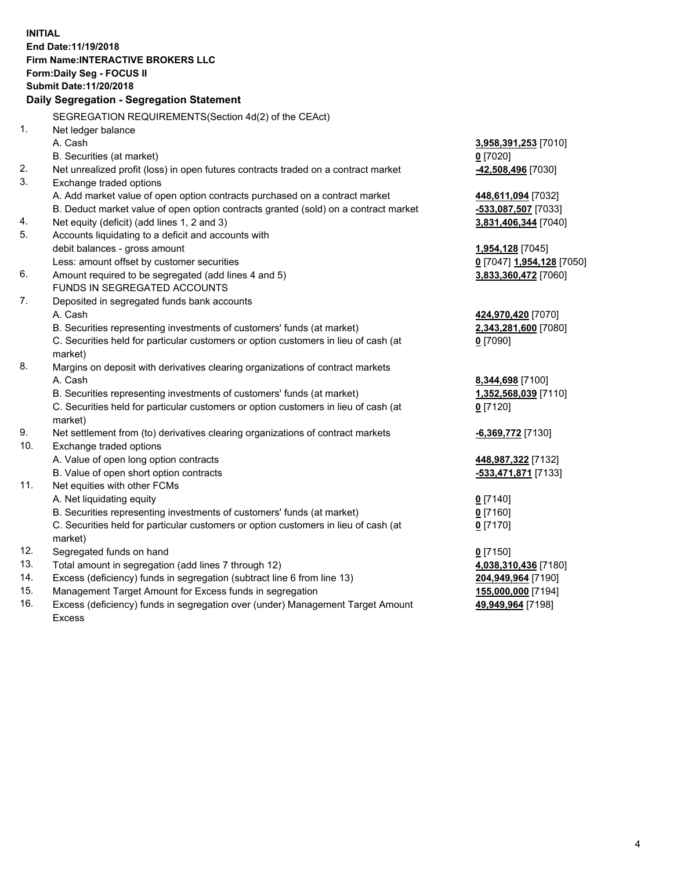**INITIAL End Date:11/19/2018 Firm Name:INTERACTIVE BROKERS LLC Form:Daily Seg - FOCUS II Submit Date:11/20/2018 Daily Segregation - Segregation Statement** SEGREGATION REQUIREMENTS(Section 4d(2) of the CEAct) 1. Net ledger balance A. Cash **3,958,391,253** [7010] B. Securities (at market) **0** [7020] 2. Net unrealized profit (loss) in open futures contracts traded on a contract market **-42,508,496** [7030] 3. Exchange traded options A. Add market value of open option contracts purchased on a contract market **448,611,094** [7032] B. Deduct market value of open option contracts granted (sold) on a contract market **-533,087,507** [7033] 4. Net equity (deficit) (add lines 1, 2 and 3) **3,831,406,344** [7040] 5. Accounts liquidating to a deficit and accounts with debit balances - gross amount **1,954,128** [7045] Less: amount offset by customer securities **0** [7047] **1,954,128** [7050] 6. Amount required to be segregated (add lines 4 and 5) **3,833,360,472** [7060] FUNDS IN SEGREGATED ACCOUNTS 7. Deposited in segregated funds bank accounts A. Cash **424,970,420** [7070] B. Securities representing investments of customers' funds (at market) **2,343,281,600** [7080] C. Securities held for particular customers or option customers in lieu of cash (at market) **0** [7090] 8. Margins on deposit with derivatives clearing organizations of contract markets A. Cash **8,344,698** [7100] B. Securities representing investments of customers' funds (at market) **1,352,568,039** [7110] C. Securities held for particular customers or option customers in lieu of cash (at market) **0** [7120] 9. Net settlement from (to) derivatives clearing organizations of contract markets **-6,369,772** [7130] 10. Exchange traded options A. Value of open long option contracts **448,987,322** [7132] B. Value of open short option contracts **-533,471,871** [7133] 11. Net equities with other FCMs A. Net liquidating equity **0** [7140] B. Securities representing investments of customers' funds (at market) **0** [7160] C. Securities held for particular customers or option customers in lieu of cash (at market) **0** [7170] 12. Segregated funds on hand **0** [7150] 13. Total amount in segregation (add lines 7 through 12) **4,038,310,436** [7180] 14. Excess (deficiency) funds in segregation (subtract line 6 from line 13) **204,949,964** [7190] 15. Management Target Amount for Excess funds in segregation **155,000,000** [7194]

16. Excess (deficiency) funds in segregation over (under) Management Target Amount Excess

**49,949,964** [7198]